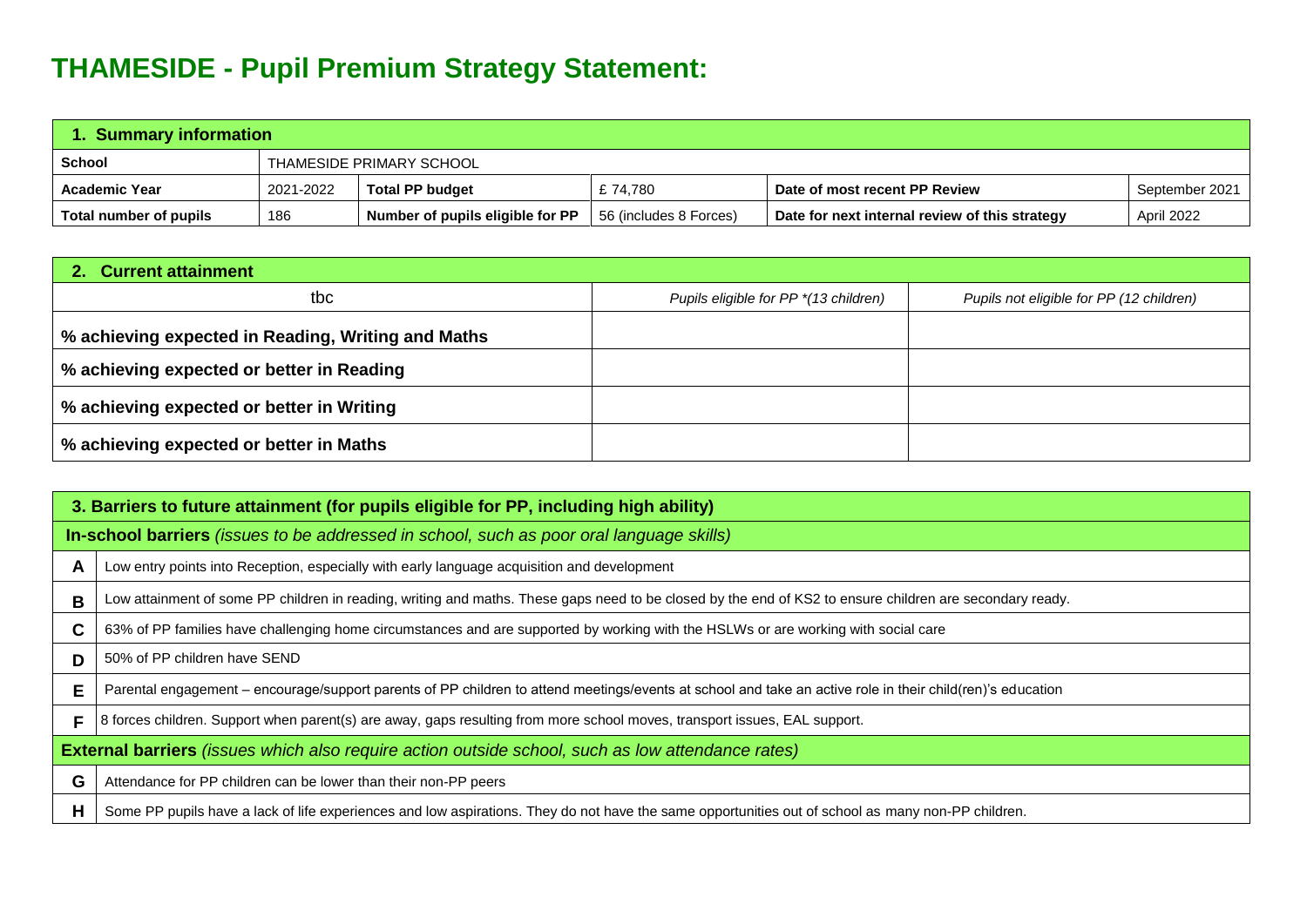## **THAMESIDE - Pupil Premium Strategy Statement:**

| 1. Summary information |                          |                                  |                        |                                                |                |  |
|------------------------|--------------------------|----------------------------------|------------------------|------------------------------------------------|----------------|--|
| <b>School</b>          | THAMESIDE PRIMARY SCHOOL |                                  |                        |                                                |                |  |
| <b>Academic Year</b>   | 2021-2022                | <b>Total PP budget</b>           | £74.780                | Date of most recent PP Review                  | September 2021 |  |
| Total number of pupils | 186                      | Number of pupils eligible for PP | 56 (includes 8 Forces) | Date for next internal review of this strategy | April 2022     |  |

| 2. Current attainment                              |                                       |                                          |  |  |  |  |
|----------------------------------------------------|---------------------------------------|------------------------------------------|--|--|--|--|
| tbc                                                | Pupils eligible for PP *(13 children) | Pupils not eligible for PP (12 children) |  |  |  |  |
| % achieving expected in Reading, Writing and Maths |                                       |                                          |  |  |  |  |
| % achieving expected or better in Reading          |                                       |                                          |  |  |  |  |
| % achieving expected or better in Writing          |                                       |                                          |  |  |  |  |
| % achieving expected or better in Maths            |                                       |                                          |  |  |  |  |

| 3. Barriers to future attainment (for pupils eligible for PP, including high ability)                    |                                                                                                                                                            |  |  |  |
|----------------------------------------------------------------------------------------------------------|------------------------------------------------------------------------------------------------------------------------------------------------------------|--|--|--|
|                                                                                                          | In-school barriers (issues to be addressed in school, such as poor oral language skills)                                                                   |  |  |  |
| A                                                                                                        | Low entry points into Reception, especially with early language acquisition and development                                                                |  |  |  |
| B                                                                                                        | Low attainment of some PP children in reading, writing and maths. These gaps need to be closed by the end of KS2 to ensure children are secondary ready.   |  |  |  |
| C.                                                                                                       | 63% of PP families have challenging home circumstances and are supported by working with the HSLWs or are working with social care                         |  |  |  |
| D                                                                                                        | 50% of PP children have SEND                                                                                                                               |  |  |  |
| E                                                                                                        | Parental engagement – encourage/support parents of PP children to attend meetings/events at school and take an active role in their child(ren)'s education |  |  |  |
| F                                                                                                        | 8 forces children. Support when parent(s) are away, gaps resulting from more school moves, transport issues, EAL support.                                  |  |  |  |
| <b>External barriers</b> (issues which also require action outside school, such as low attendance rates) |                                                                                                                                                            |  |  |  |
| G                                                                                                        | Attendance for PP children can be lower than their non-PP peers                                                                                            |  |  |  |
| H                                                                                                        | Some PP pupils have a lack of life experiences and low aspirations. They do not have the same opportunities out of school as many non-PP children.         |  |  |  |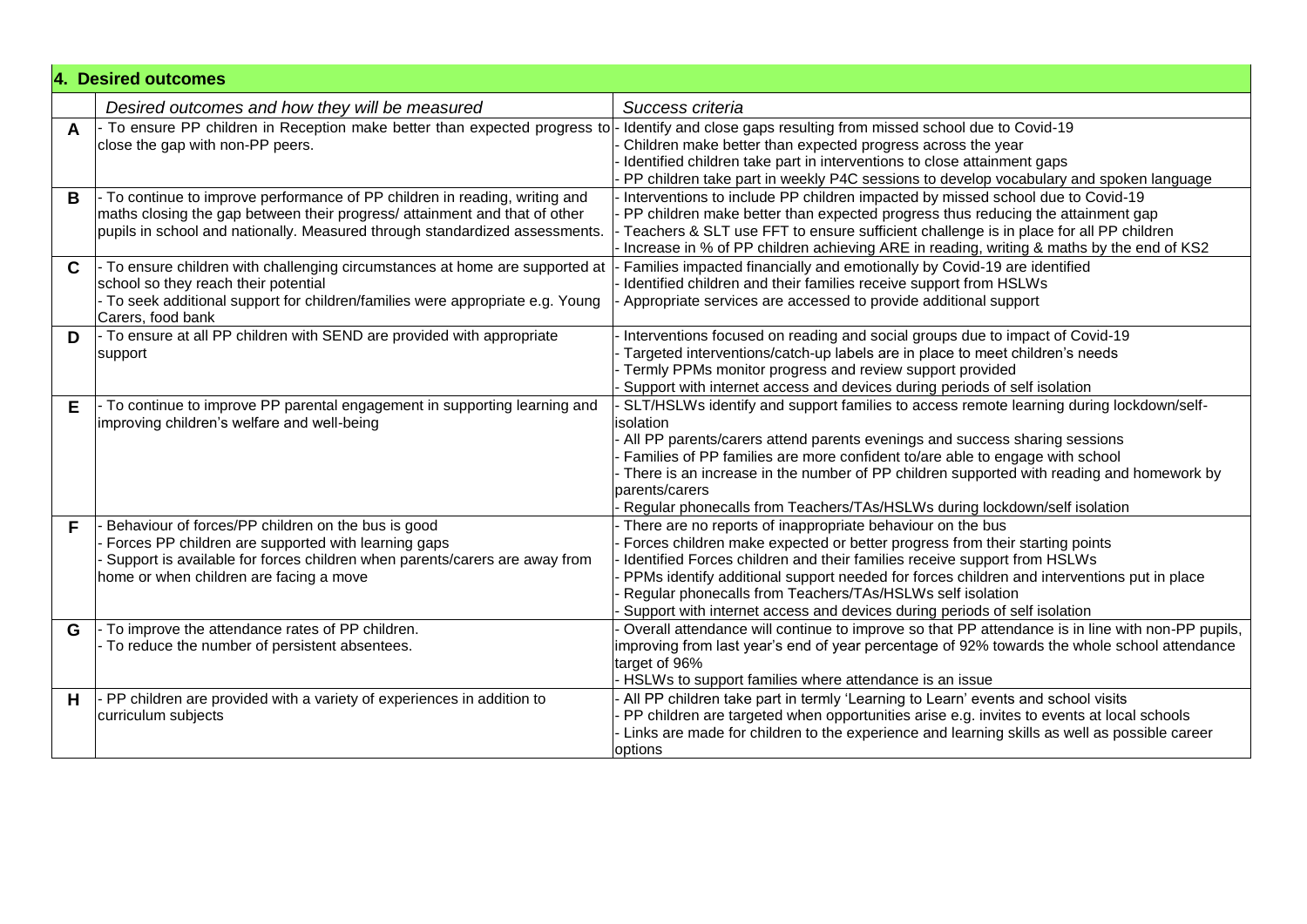|              | 4. Desired outcomes                                                                                                                                                                                                                    |                                                                                                                                                                                                                                                                                                                                                                                                                                                                 |
|--------------|----------------------------------------------------------------------------------------------------------------------------------------------------------------------------------------------------------------------------------------|-----------------------------------------------------------------------------------------------------------------------------------------------------------------------------------------------------------------------------------------------------------------------------------------------------------------------------------------------------------------------------------------------------------------------------------------------------------------|
|              | Desired outcomes and how they will be measured                                                                                                                                                                                         | Success criteria                                                                                                                                                                                                                                                                                                                                                                                                                                                |
| $\mathbf{A}$ | - To ensure PP children in Reception make better than expected progress to -<br>close the gap with non-PP peers.                                                                                                                       | Identify and close gaps resulting from missed school due to Covid-19<br>Children make better than expected progress across the year<br>Identified children take part in interventions to close attainment gaps<br>PP children take part in weekly P4C sessions to develop vocabulary and spoken language                                                                                                                                                        |
| B            | To continue to improve performance of PP children in reading, writing and<br>maths closing the gap between their progress/ attainment and that of other<br>pupils in school and nationally. Measured through standardized assessments. | Interventions to include PP children impacted by missed school due to Covid-19<br>PP children make better than expected progress thus reducing the attainment gap<br>Teachers & SLT use FFT to ensure sufficient challenge is in place for all PP children<br>Increase in % of PP children achieving ARE in reading, writing & maths by the end of KS2                                                                                                          |
| $\mathbf C$  | - To ensure children with challenging circumstances at home are supported at<br>school so they reach their potential<br>- To seek additional support for children/families were appropriate e.g. Young<br>Carers, food bank            | Families impacted financially and emotionally by Covid-19 are identified<br>Identified children and their families receive support from HSLWs<br>Appropriate services are accessed to provide additional support                                                                                                                                                                                                                                                |
| D            | - To ensure at all PP children with SEND are provided with appropriate<br>support                                                                                                                                                      | Interventions focused on reading and social groups due to impact of Covid-19<br>Targeted interventions/catch-up labels are in place to meet children's needs<br>Termly PPMs monitor progress and review support provided<br>Support with internet access and devices during periods of self isolation                                                                                                                                                           |
| Е            | - To continue to improve PP parental engagement in supporting learning and<br>improving children's welfare and well-being                                                                                                              | SLT/HSLWs identify and support families to access remote learning during lockdown/self-<br>isolation<br>- All PP parents/carers attend parents evenings and success sharing sessions<br>Families of PP families are more confident to/are able to engage with school<br>There is an increase in the number of PP children supported with reading and homework by<br>parents/carers<br>Regular phonecalls from Teachers/TAs/HSLWs during lockdown/self isolation |
| F            | Behaviour of forces/PP children on the bus is good<br>Forces PP children are supported with learning gaps<br>Support is available for forces children when parents/carers are away from<br>home or when children are facing a move     | There are no reports of inappropriate behaviour on the bus<br>Forces children make expected or better progress from their starting points<br>Identified Forces children and their families receive support from HSLWs<br>PPMs identify additional support needed for forces children and interventions put in place<br>Regular phonecalls from Teachers/TAs/HSLWs self isolation<br>Support with internet access and devices during periods of self isolation   |
| G            | To improve the attendance rates of PP children.<br>- To reduce the number of persistent absentees.                                                                                                                                     | Overall attendance will continue to improve so that PP attendance is in line with non-PP pupils,<br>improving from last year's end of year percentage of 92% towards the whole school attendance<br>target of 96%<br>- HSLWs to support families where attendance is an issue                                                                                                                                                                                   |
| н            | - PP children are provided with a variety of experiences in addition to<br>curriculum subjects                                                                                                                                         | All PP children take part in termly 'Learning to Learn' events and school visits<br>PP children are targeted when opportunities arise e.g. invites to events at local schools<br>Links are made for children to the experience and learning skills as well as possible career<br>options                                                                                                                                                                        |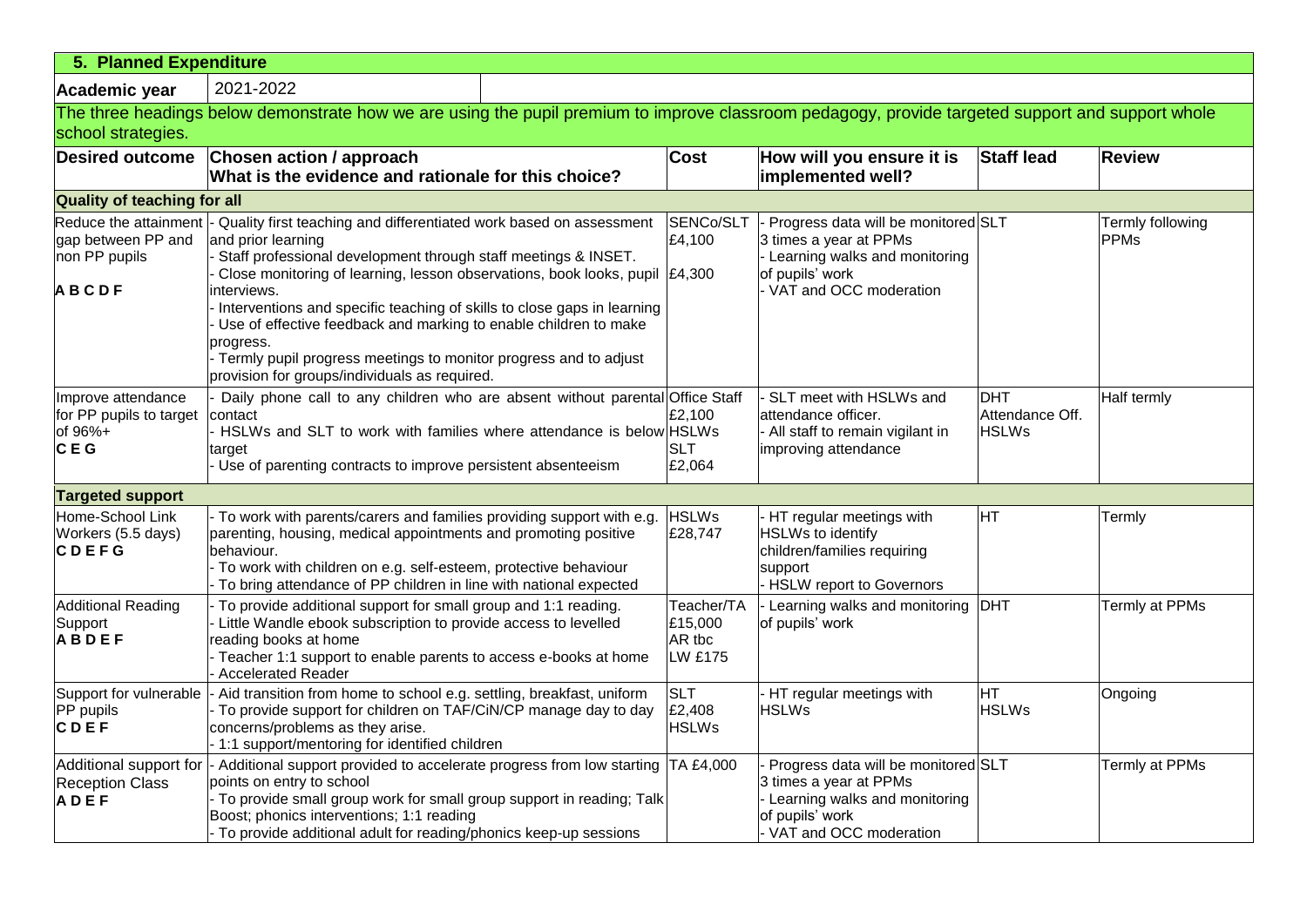| 5. Planned Expenditure                                          |                                                                                                                                                                                                                                                                                                                                                                                                                                                                                                                                                               |                                                   |                                                                                                                                               |                                               |                                 |  |
|-----------------------------------------------------------------|---------------------------------------------------------------------------------------------------------------------------------------------------------------------------------------------------------------------------------------------------------------------------------------------------------------------------------------------------------------------------------------------------------------------------------------------------------------------------------------------------------------------------------------------------------------|---------------------------------------------------|-----------------------------------------------------------------------------------------------------------------------------------------------|-----------------------------------------------|---------------------------------|--|
| Academic year                                                   | 2021-2022                                                                                                                                                                                                                                                                                                                                                                                                                                                                                                                                                     |                                                   |                                                                                                                                               |                                               |                                 |  |
|                                                                 | The three headings below demonstrate how we are using the pupil premium to improve classroom pedagogy, provide targeted support and support whole                                                                                                                                                                                                                                                                                                                                                                                                             |                                                   |                                                                                                                                               |                                               |                                 |  |
| school strategies.                                              |                                                                                                                                                                                                                                                                                                                                                                                                                                                                                                                                                               |                                                   |                                                                                                                                               |                                               |                                 |  |
| <b>Desired outcome</b>                                          | Chosen action / approach<br>What is the evidence and rationale for this choice?                                                                                                                                                                                                                                                                                                                                                                                                                                                                               | <b>Cost</b>                                       | How will you ensure it is<br>implemented well?                                                                                                | <b>Staff lead</b>                             | <b>Review</b>                   |  |
| <b>Quality of teaching for all</b>                              |                                                                                                                                                                                                                                                                                                                                                                                                                                                                                                                                                               |                                                   |                                                                                                                                               |                                               |                                 |  |
| gap between PP and<br>non PP pupils<br><b>ABCDF</b>             | Reduce the attainment  - Quality first teaching and differentiated work based on assessment<br>and prior learning<br>Staff professional development through staff meetings & INSET.<br>Close monitoring of learning, lesson observations, book looks, pupil<br>interviews.<br>Interventions and specific teaching of skills to close gaps in learning<br>Use of effective feedback and marking to enable children to make<br>progress.<br>- Termly pupil progress meetings to monitor progress and to adjust<br>provision for groups/individuals as required. | SENCo/SLT<br>£4,100<br>£4,300                     | Progress data will be monitored SLT<br>3 times a year at PPMs<br>Learning walks and monitoring<br>of pupils' work<br>- VAT and OCC moderation |                                               | Termly following<br><b>PPMs</b> |  |
| Improve attendance<br>for PP pupils to target<br>of 96%+<br>CEG | Daily phone call to any children who are absent without parental Office Staff<br>contact<br>HSLWs and SLT to work with families where attendance is below HSLWs<br>target<br>Use of parenting contracts to improve persistent absenteeism                                                                                                                                                                                                                                                                                                                     | £2,100<br><b>SLT</b><br>£2,064                    | SLT meet with HSLWs and<br>attendance officer.<br>All staff to remain vigilant in<br>improving attendance                                     | <b>DHT</b><br>Attendance Off.<br><b>HSLWs</b> | Half termly                     |  |
| <b>Targeted support</b>                                         |                                                                                                                                                                                                                                                                                                                                                                                                                                                                                                                                                               |                                                   |                                                                                                                                               |                                               |                                 |  |
| Home-School Link<br>Workers (5.5 days)<br>CDEFG                 | To work with parents/carers and families providing support with e.g.<br>parenting, housing, medical appointments and promoting positive<br>behaviour.<br>- To work with children on e.g. self-esteem, protective behaviour<br>To bring attendance of PP children in line with national expected                                                                                                                                                                                                                                                               | <b>HSLWs</b><br>£28,747                           | HT regular meetings with<br><b>HSLWs to identify</b><br>children/families requiring<br>support<br><b>HSLW</b> report to Governors             | HT                                            | Termly                          |  |
| <b>Additional Reading</b><br>Support<br><b>ABDEF</b>            | To provide additional support for small group and 1:1 reading.<br>Little Wandle ebook subscription to provide access to levelled<br>reading books at home<br>Teacher 1:1 support to enable parents to access e-books at home<br><b>Accelerated Reader</b>                                                                                                                                                                                                                                                                                                     | Teacher/TA<br>£15,000<br>AR tbc<br><b>LW £175</b> | Learning walks and monitoring<br>of pupils' work                                                                                              | <b>DHT</b>                                    | Termly at PPMs                  |  |
| Support for vulnerable<br>PP pupils<br>CDEF                     | - Aid transition from home to school e.g. settling, breakfast, uniform<br>To provide support for children on TAF/CiN/CP manage day to day<br>concerns/problems as they arise.<br>- 1:1 support/mentoring for identified children                                                                                                                                                                                                                                                                                                                              | <b>SLT</b><br>£2,408<br><b>HSLWs</b>              | HT regular meetings with<br><b>HSLWs</b>                                                                                                      | HT<br><b>HSLWs</b>                            | Ongoing                         |  |
| Additional support for<br><b>Reception Class</b><br><b>ADEF</b> | - Additional support provided to accelerate progress from low starting TA £4,000<br>points on entry to school<br>- To provide small group work for small group support in reading; Talk<br>Boost; phonics interventions; 1:1 reading<br>- To provide additional adult for reading/phonics keep-up sessions                                                                                                                                                                                                                                                    |                                                   | Progress data will be monitored SLT<br>3 times a year at PPMs<br>Learning walks and monitoring<br>of pupils' work<br>- VAT and OCC moderation |                                               | Termly at PPMs                  |  |